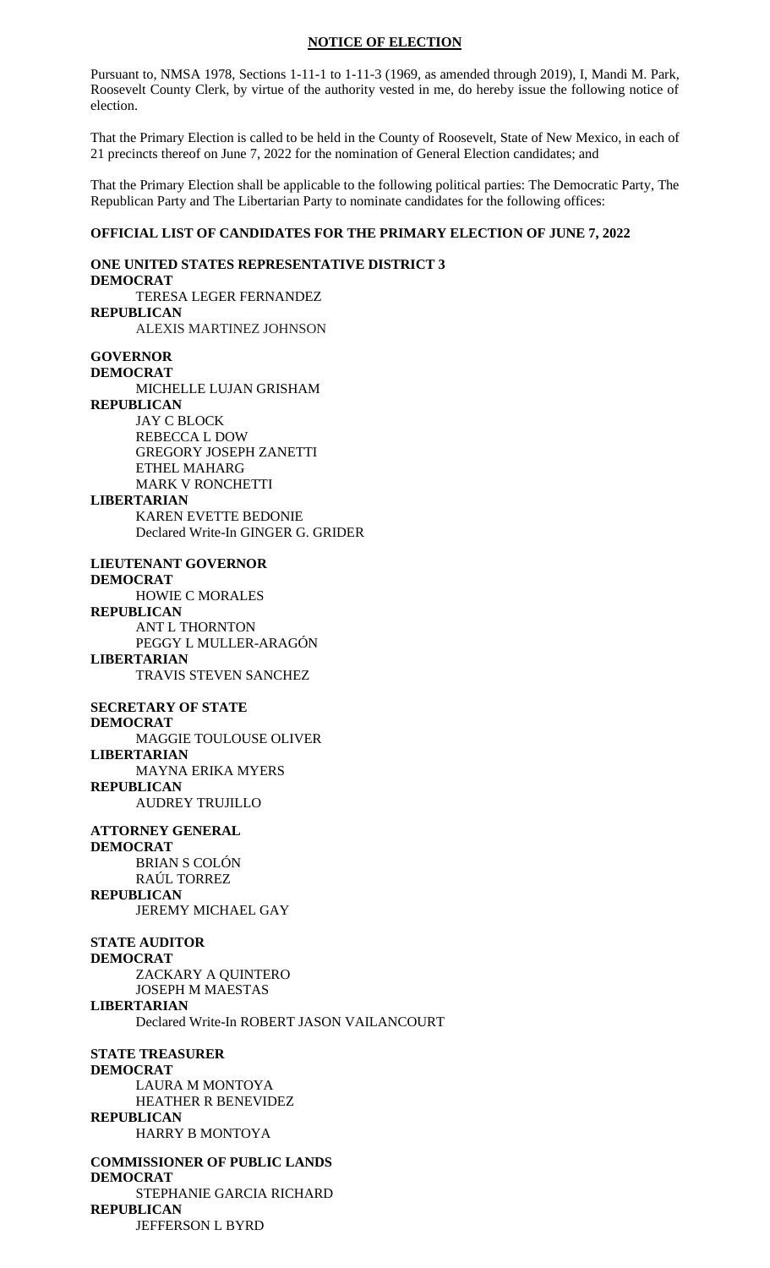#### **NOTICE OF ELECTION**

Pursuant to, NMSA 1978, Sections 1-11-1 to 1-11-3 (1969, as amended through 2019), I, Mandi M. Park, Roosevelt County Clerk, by virtue of the authority vested in me, do hereby issue the following notice of election.

That the Primary Election is called to be held in the County of Roosevelt, State of New Mexico, in each of 21 precincts thereof on June 7, 2022 for the nomination of General Election candidates; and

That the Primary Election shall be applicable to the following political parties: The Democratic Party, The Republican Party and The Libertarian Party to nominate candidates for the following offices:

### **OFFICIAL LIST OF CANDIDATES FOR THE PRIMARY ELECTION OF JUNE 7, 2022**

**ONE UNITED STATES REPRESENTATIVE DISTRICT 3 DEMOCRAT** TERESA LEGER FERNANDEZ **REPUBLICAN** ALEXIS MARTINEZ JOHNSON **GOVERNOR DEMOCRAT** MICHELLE LUJAN GRISHAM **REPUBLICAN** JAY C BLOCK REBECCA L DOW GREGORY JOSEPH ZANETTI ETHEL MAHARG MARK V RONCHETTI **LIBERTARIAN** KAREN EVETTE BEDONIE Declared Write-In GINGER G. GRIDER **LIEUTENANT GOVERNOR DEMOCRAT** HOWIE C MORALES **REPUBLICAN** ANT L THORNTON PEGGY L MULLER-ARAGÓN **LIBERTARIAN** TRAVIS STEVEN SANCHEZ **SECRETARY OF STATE DEMOCRAT** MAGGIE TOULOUSE OLIVER **LIBERTARIAN** MAYNA ERIKA MYERS **REPUBLICAN** AUDREY TRUJILLO **ATTORNEY GENERAL DEMOCRAT** BRIAN S COLÓN RAÚL TORREZ **REPUBLICAN** JEREMY MICHAEL GAY **STATE AUDITOR DEMOCRAT** ZACKARY A QUINTERO JOSEPH M MAESTAS **LIBERTARIAN** Declared Write-In ROBERT JASON VAILANCOURT **STATE TREASURER DEMOCRAT** LAURA M MONTOYA HEATHER R BENEVIDEZ **REPUBLICAN** HARRY B MONTOYA **COMMISSIONER OF PUBLIC LANDS DEMOCRAT** STEPHANIE GARCIA RICHARD **REPUBLICAN** JEFFERSON L BYRD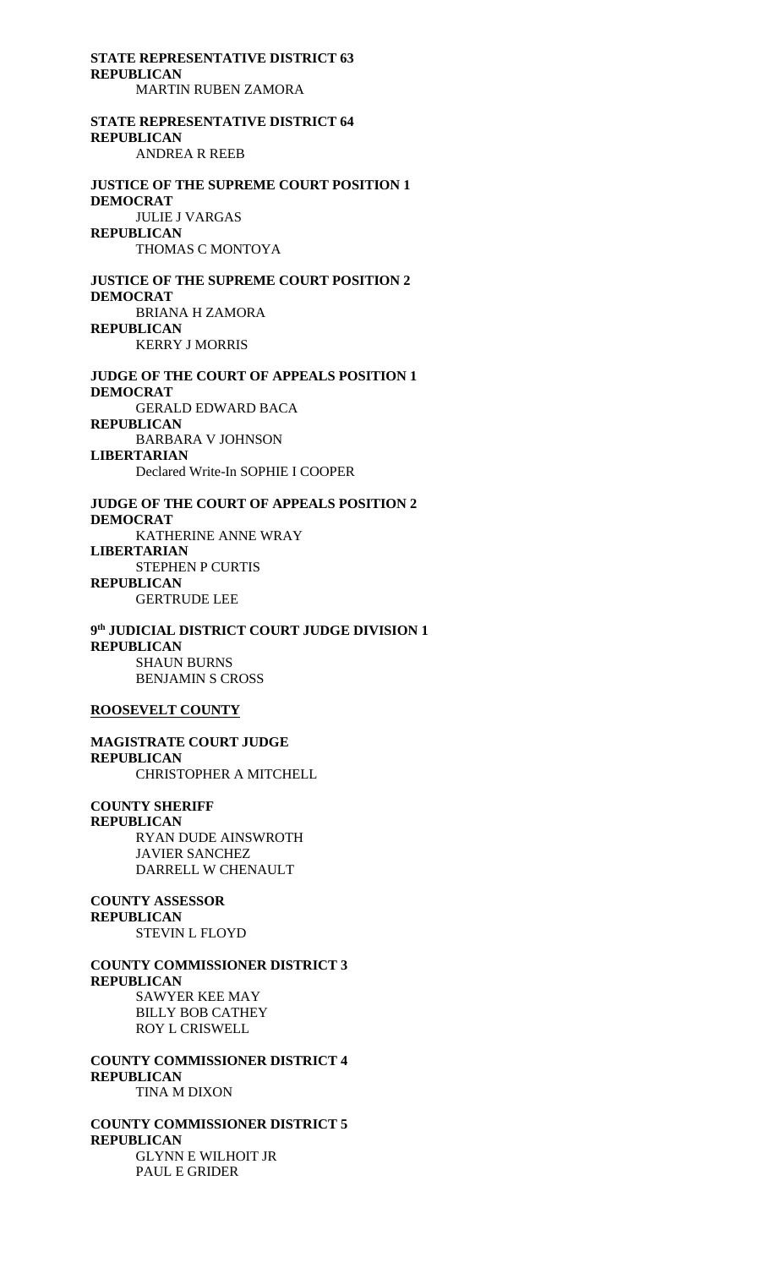**STATE REPRESENTATIVE DISTRICT 63 REPUBLICAN**

MARTIN RUBEN ZAMORA

# **STATE REPRESENTATIVE DISTRICT 64 REPUBLICAN** ANDREA R REEB

**JUSTICE OF THE SUPREME COURT POSITION 1 DEMOCRAT** JULIE J VARGAS **REPUBLICAN** THOMAS C MONTOYA

**JUSTICE OF THE SUPREME COURT POSITION 2 DEMOCRAT** BRIANA H ZAMORA **REPUBLICAN** KERRY J MORRIS

**JUDGE OF THE COURT OF APPEALS POSITION 1 DEMOCRAT** GERALD EDWARD BACA **REPUBLICAN** BARBARA V JOHNSON **LIBERTARIAN** Declared Write-In SOPHIE I COOPER

**JUDGE OF THE COURT OF APPEALS POSITION 2 DEMOCRAT** KATHERINE ANNE WRAY **LIBERTARIAN**  STEPHEN P CURTIS **REPUBLICAN** GERTRUDE LEE

**9 th JUDICIAL DISTRICT COURT JUDGE DIVISION 1 REPUBLICAN** SHAUN BURNS BENJAMIN S CROSS

#### **ROOSEVELT COUNTY**

**MAGISTRATE COURT JUDGE REPUBLICAN** CHRISTOPHER A MITCHELL

**COUNTY SHERIFF REPUBLICAN** RYAN DUDE AINSWROTH JAVIER SANCHEZ DARRELL W CHENAULT

**COUNTY ASSESSOR REPUBLICAN** STEVIN L FLOYD

### **COUNTY COMMISSIONER DISTRICT 3 REPUBLICAN** SAWYER KEE MAY BILLY BOB CATHEY

ROY L CRISWELL **COUNTY COMMISSIONER DISTRICT 4 REPUBLICAN** TINA M DIXON

**COUNTY COMMISSIONER DISTRICT 5 REPUBLICAN** GLYNN E WILHOIT JR PAUL E GRIDER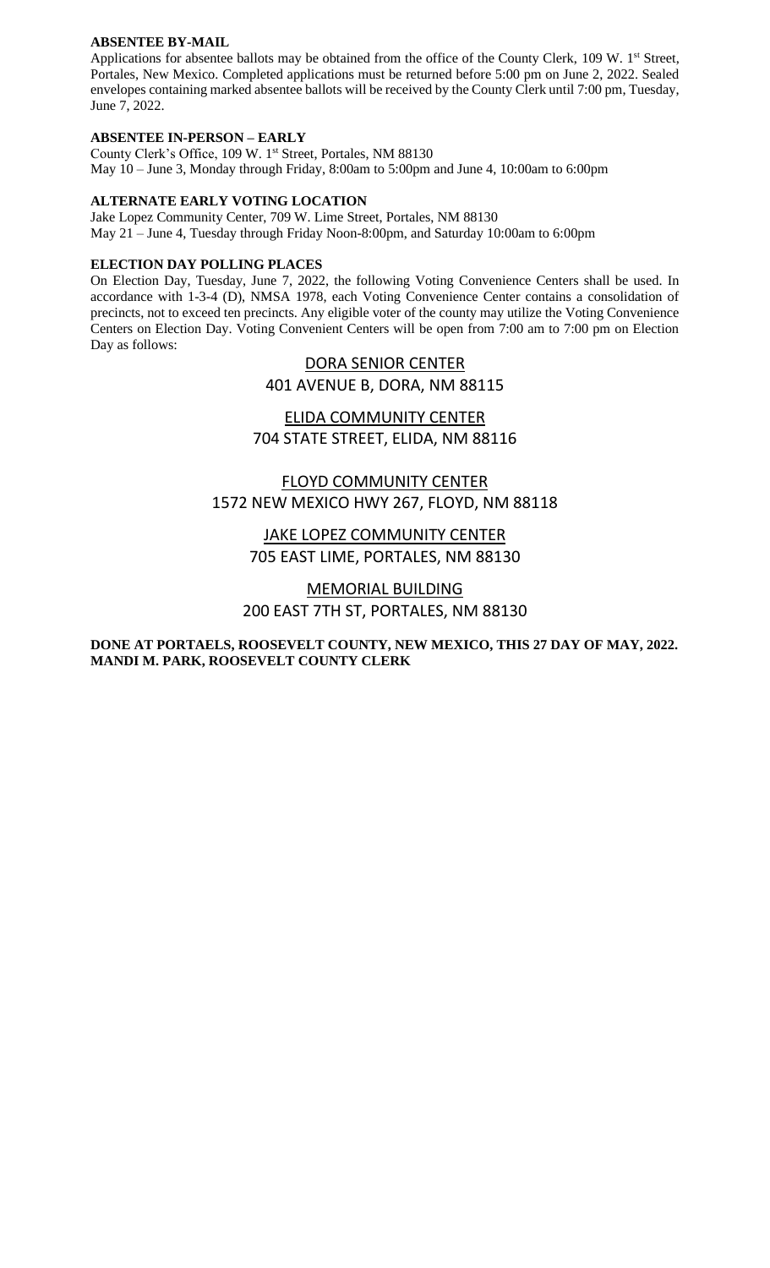## **ABSENTEE BY-MAIL**

Applications for absentee ballots may be obtained from the office of the County Clerk, 109 W. 1<sup>st</sup> Street, Portales, New Mexico. Completed applications must be returned before 5:00 pm on June 2, 2022. Sealed envelopes containing marked absentee ballots will be received by the County Clerk until 7:00 pm, Tuesday, June 7, 2022.

## **ABSENTEE IN-PERSON – EARLY**

County Clerk's Office, 109 W. 1st Street, Portales, NM 88130 May 10 – June 3, Monday through Friday, 8:00am to 5:00pm and June 4, 10:00am to 6:00pm

## **ALTERNATE EARLY VOTING LOCATION**

Jake Lopez Community Center, 709 W. Lime Street, Portales, NM 88130 May 21 – June 4, Tuesday through Friday Noon-8:00pm, and Saturday 10:00am to 6:00pm

## **ELECTION DAY POLLING PLACES**

On Election Day, Tuesday, June 7, 2022, the following Voting Convenience Centers shall be used. In accordance with 1-3-4 (D), NMSA 1978, each Voting Convenience Center contains a consolidation of precincts, not to exceed ten precincts. Any eligible voter of the county may utilize the Voting Convenience Centers on Election Day. Voting Convenient Centers will be open from 7:00 am to 7:00 pm on Election Day as follows:

# DORA SENIOR CENTER

401 AVENUE B, DORA, NM 88115

# ELIDA COMMUNITY CENTER 704 STATE STREET, ELIDA, NM 88116

# FLOYD COMMUNITY CENTER 1572 NEW MEXICO HWY 267, FLOYD, NM 88118

JAKE LOPEZ COMMUNITY CENTER 705 EAST LIME, PORTALES, NM 88130

# MEMORIAL BUILDING 200 EAST 7TH ST, PORTALES, NM 88130

# **DONE AT PORTAELS, ROOSEVELT COUNTY, NEW MEXICO, THIS 27 DAY OF MAY, 2022. MANDI M. PARK, ROOSEVELT COUNTY CLERK**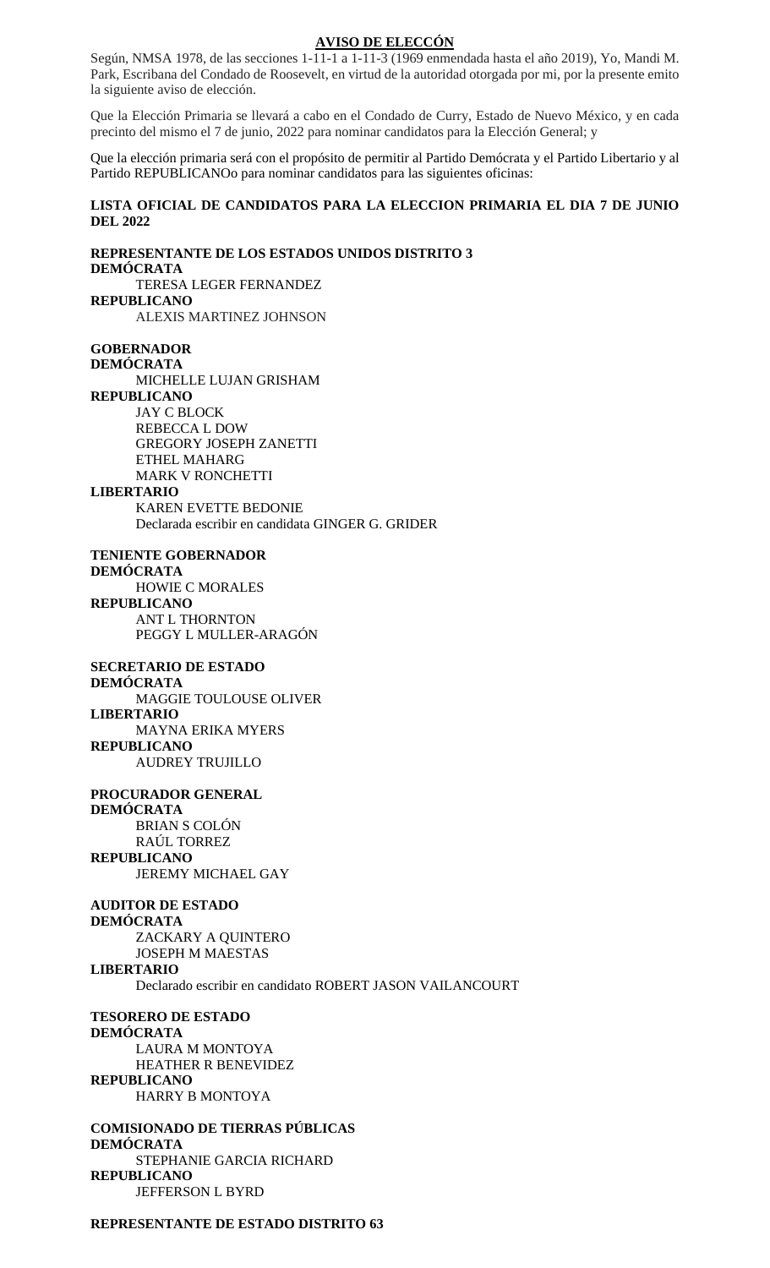### **AVISO DE ELECCÓN**

Según, NMSA 1978, de las secciones 1-11-1 a 1-11-3 (1969 enmendada hasta el año 2019), Yo, Mandi M. Park, Escribana del Condado de Roosevelt, en virtud de la autoridad otorgada por mi, por la presente emito la siguiente aviso de elección.

Que la Elección Primaria se llevará a cabo en el Condado de Curry, Estado de Nuevo México, y en cada precinto del mismo el 7 de junio, 2022 para nominar candidatos para la Elección General; y

Que la elección primaria será con el propósito de permitir al Partido Demócrata y el Partido Libertario y al Partido REPUBLICANOo para nominar candidatos para las siguientes oficinas:

## **LISTA OFICIAL DE CANDIDATOS PARA LA ELECCION PRIMARIA EL DIA 7 DE JUNIO DEL 2022**

**REPRESENTANTE DE LOS ESTADOS UNIDOS DISTRITO 3 DEMÓCRATA** TERESA LEGER FERNANDEZ **REPUBLICANO** ALEXIS MARTINEZ JOHNSON **GOBERNADOR DEMÓCRATA** MICHELLE LUJAN GRISHAM **REPUBLICANO** JAY C BLOCK REBECCA L DOW GREGORY JOSEPH ZANETTI ETHEL MAHARG MARK V RONCHETTI **LIBERTARIO** KAREN EVETTE BEDONIE Declarada escribir en candidata GINGER G. GRIDER **TENIENTE GOBERNADOR DEMÓCRATA** HOWIE C MORALES **REPUBLICANO** ANT L THORNTON PEGGY L MULLER-ARAGÓN **SECRETARIO DE ESTADO DEMÓCRATA** MAGGIE TOULOUSE OLIVER **LIBERTARIO** MAYNA ERIKA MYERS **REPUBLICANO** AUDREY TRUJILLO **PROCURADOR GENERAL DEMÓCRATA** BRIAN S COLÓN RAÚL TORREZ **REPUBLICANO** JEREMY MICHAEL GAY **AUDITOR DE ESTADO DEMÓCRATA** ZACKARY A QUINTERO JOSEPH M MAESTAS **LIBERTARIO** Declarado escribir en candidato ROBERT JASON VAILANCOURT **TESORERO DE ESTADO DEMÓCRATA** LAURA M MONTOYA HEATHER R BENEVIDEZ **REPUBLICANO** HARRY B MONTOYA **COMISIONADO DE TIERRAS PÚBLICAS DEMÓCRATA** STEPHANIE GARCIA RICHARD **REPUBLICANO**

JEFFERSON L BYRD

**REPRESENTANTE DE ESTADO DISTRITO 63**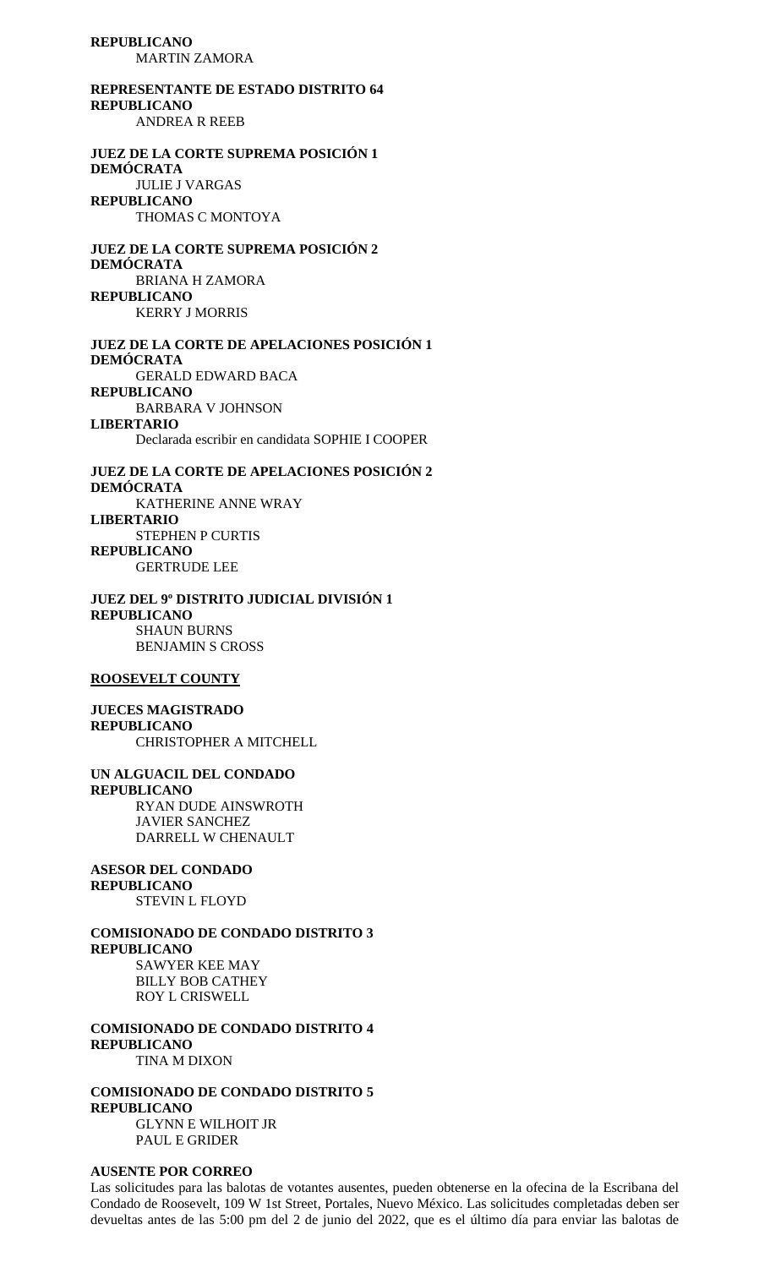**REPUBLICANO** MARTIN ZAMORA

**REPRESENTANTE DE ESTADO DISTRITO 64 REPUBLICANO** ANDREA R REEB **JUEZ DE LA CORTE SUPREMA POSICIÓN 1 DEMÓCRATA**

JULIE J VARGAS **REPUBLICANO** THOMAS C MONTOYA

**JUEZ DE LA CORTE SUPREMA POSICIÓN 2 DEMÓCRATA** BRIANA H ZAMORA **REPUBLICANO** KERRY J MORRIS

**JUEZ DE LA CORTE DE APELACIONES POSICIÓN 1 DEMÓCRATA** GERALD EDWARD BACA **REPUBLICANO** BARBARA V JOHNSON **LIBERTARIO**  Declarada escribir en candidata SOPHIE I COOPER

**JUEZ DE LA CORTE DE APELACIONES POSICIÓN 2 DEMÓCRATA** KATHERINE ANNE WRAY **LIBERTARIO**  STEPHEN P CURTIS **REPUBLICANO** GERTRUDE LEE

**JUEZ DEL 9º DISTRITO JUDICIAL DIVISIÓN 1 REPUBLICANO** SHAUN BURNS BENJAMIN S CROSS

#### **ROOSEVELT COUNTY**

**JUECES MAGISTRADO REPUBLICANO** CHRISTOPHER A MITCHELL

**UN ALGUACIL DEL CONDADO REPUBLICANO** RYAN DUDE AINSWROTH JAVIER SANCHEZ DARRELL W CHENAULT

**ASESOR DEL CONDADO REPUBLICANO** STEVIN L FLOYD

**COMISIONADO DE CONDADO DISTRITO 3 REPUBLICANO** SAWYER KEE MAY BILLY BOB CATHEY ROY L CRISWELL

**COMISIONADO DE CONDADO DISTRITO 4 REPUBLICANO** TINA M DIXON

**COMISIONADO DE CONDADO DISTRITO 5 REPUBLICANO** GLYNN E WILHOIT JR PAUL E GRIDER

#### **AUSENTE POR CORREO**

Las solicitudes para las balotas de votantes ausentes, pueden obtenerse en la ofecina de la Escribana del Condado de Roosevelt, 109 W 1st Street, Portales, Nuevo México. Las solicitudes completadas deben ser devueltas antes de las 5:00 pm del 2 de junio del 2022, que es el último día para enviar las balotas de